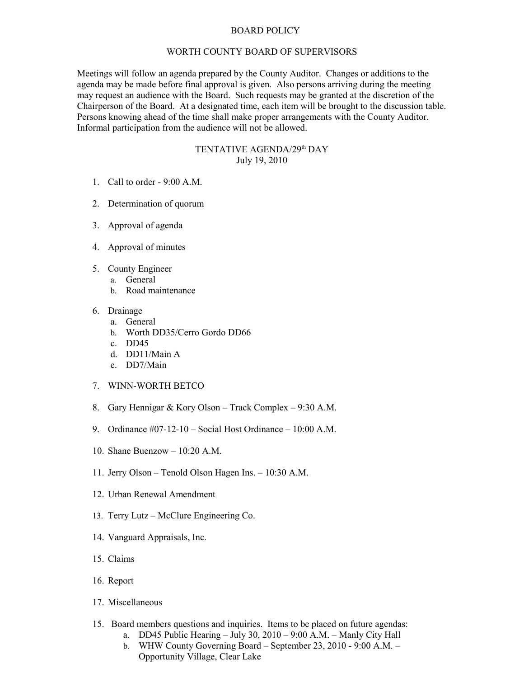## BOARD POLICY

## WORTH COUNTY BOARD OF SUPERVISORS

Meetings will follow an agenda prepared by the County Auditor. Changes or additions to the agenda may be made before final approval is given. Also persons arriving during the meeting may request an audience with the Board. Such requests may be granted at the discretion of the Chairperson of the Board. At a designated time, each item will be brought to the discussion table. Persons knowing ahead of the time shall make proper arrangements with the County Auditor. Informal participation from the audience will not be allowed.

## TENTATIVE AGENDA/29<sup>th</sup> DAY July 19, 2010

- 1. Call to order 9:00 A.M.
- 2. Determination of quorum
- 3. Approval of agenda
- 4. Approval of minutes
- 5. County Engineer
	- a. General
		- b. Road maintenance
- 6. Drainage
	- a. General
	- b. Worth DD35/Cerro Gordo DD66
	- c. DD45
	- d. DD11/Main A
	- e. DD7/Main
- 7. WINN-WORTH BETCO
- 8. Gary Hennigar & Kory Olson Track Complex 9:30 A.M.
- 9. Ordinance #07-12-10 Social Host Ordinance 10:00 A.M.
- 10. Shane Buenzow 10:20 A.M.
- 11. Jerry Olson Tenold Olson Hagen Ins. 10:30 A.M.
- 12. Urban Renewal Amendment
- 13. Terry Lutz McClure Engineering Co.
- 14. Vanguard Appraisals, Inc.
- 15. Claims
- 16. Report
- 17. Miscellaneous
- 15. Board members questions and inquiries. Items to be placed on future agendas:
	- a. DD45 Public Hearing July 30, 2010 9:00 A.M. Manly City Hall
	- b. WHW County Governing Board September 23, 2010 9:00 A.M. Opportunity Village, Clear Lake